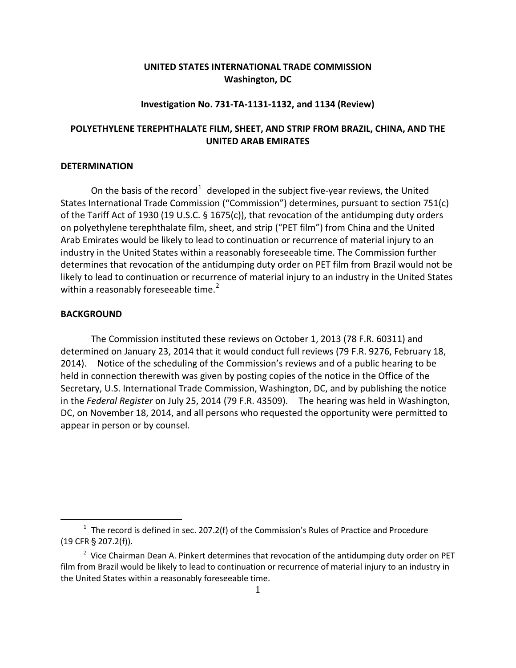# **UNITED STATES INTERNATIONAL TRADE COMMISSION Washington, DC**

### **Investigation No. 731-TA-1131-1132, and 1134 (Review)**

## **POLYETHYLENE TEREPHTHALATE FILM, SHEET, AND STRIP FROM BRAZIL, CHINA, AND THE UNITED ARAB EMIRATES**

### **DETERMINATION**

On the basis of the record<sup>[1](#page-0-0)</sup> developed in the subject five-year reviews, the United States International Trade Commission ("Commission") determines, pursuant to section 751(c) of the Tariff Act of 1930 (19 U.S.C. § 1675(c)), that revocation of the antidumping duty orders on polyethylene terephthalate film, sheet, and strip ("PET film") from China and the United Arab Emirates would be likely to lead to continuation or recurrence of material injury to an industry in the United States within a reasonably foreseeable time. The Commission further determines that revocation of the antidumping duty order on PET film from Brazil would not be likely to lead to continuation or recurrence of material injury to an industry in the United States within a reasonably foreseeable time.<sup>[2](#page-0-1)</sup>

#### **BACKGROUND**

 $\overline{a}$ 

The Commission instituted these reviews on October 1, 2013 (78 F.R. 60311) and determined on January 23, 2014 that it would conduct full reviews (79 F.R. 9276, February 18, 2014). Notice of the scheduling of the Commission's reviews and of a public hearing to be held in connection therewith was given by posting copies of the notice in the Office of the Secretary, U.S. International Trade Commission, Washington, DC, and by publishing the notice in the *Federal Register* on July 25, 2014 (79 F.R. 43509). The hearing was held in Washington, DC, on November 18, 2014, and all persons who requested the opportunity were permitted to appear in person or by counsel.

<span id="page-0-0"></span> $1$  The record is defined in sec. 207.2(f) of the Commission's Rules of Practice and Procedure  $(19$  CFR  $\S$  207.2(f)).

<span id="page-0-1"></span> $2$  Vice Chairman Dean A. Pinkert determines that revocation of the antidumping duty order on PET film from Brazil would be likely to lead to continuation or recurrence of material injury to an industry in the United States within a reasonably foreseeable time.